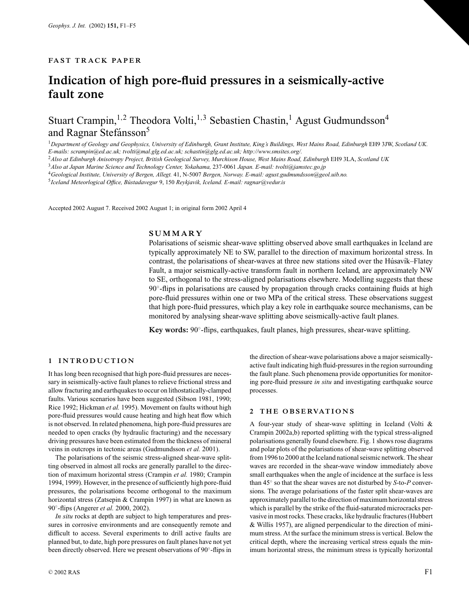### **FAST TRACK PAPER**

# **Indication of high pore-fluid pressures in a seismically-active fault zone**

## Stuart Crampin,<sup>1,2</sup> Theodora Volti,<sup>1,3</sup> Sebastien Chastin,<sup>1</sup> Agust Gudmundsson<sup>4</sup> and Ragnar Stefánsson<sup>5</sup>

<sup>1</sup>*Department of Geology and Geophysics, University of Edinburgh, Grant Institute, King's Buildings, West Mains Road, Edinburgh* EH9 3JW, *Scotland UK. E-mails: scrampin@ed.ac.uk; tvolti@mal.glg.ed.ac.uk; schastin@glg.ed.ac.uk; http://www.smsites.org/.*

<sup>2</sup>*Also at Edinburgh Anisotropy Project, British Geological Survey, Murchison House, West Mains Road, Edinburgh* EH9 3LA, *Scotland UK*

<sup>3</sup>*Also at Japan Marine Science and Technology Center, Yokahama,* 237-0061 *Japan. E-mail: tvolti@jamstec.go.jp*

<sup>4</sup>*Geological Institute, University of Bergen, Allegt.* 41, N-5007 *Bergen, Norway. E-mail: agust.gudmundsson@geol.uib.no.*

<sup>5</sup>*Iceland Meteorlogical Office, B´ustadavegur* 9, 150 *Reykjavik, Iceland. E-mail: ragnar@vedur.is*

Accepted 2002 August 7. Received 2002 August 1; in original form 2002 April 4

## **SUMMARY**

Polarisations of seismic shear-wave splitting observed above small earthquakes in Iceland are typically approximately NE to SW, parallel to the direction of maximum horizontal stress. In contrast, the polarisations of shear-waves at three new stations sited over the Húsavík–Flatey Fault, a major seismically-active transform fault in northern Iceland, are approximately NW to SE, orthogonal to the stress-aligned polarisations elsewhere. Modelling suggests that these 90◦-flips in polarisations are caused by propagation through cracks containing fluids at high pore-fluid pressures within one or two MPa of the critical stress. These observations suggest that high pore-fluid pressures, which play a key role in earthquake source mechanisms, can be monitored by analysing shear-wave splitting above seismically-active fault planes.

**Key words:** 90◦-flips, earthquakes, fault planes, high pressures, shear-wave splitting.

#### **1 INTRODUCTION**

It has long been recognised that high pore-fluid pressures are necessary in seismically-active fault planes to relieve frictional stress and allow fracturing and earthquakes to occur on lithostatically-clamped faults. Various scenarios have been suggested (Sibson 1981, 1990; Rice 1992; Hickman *et al.* 1995). Movement on faults without high pore-fluid pressures would cause heating and high heat flow which is not observed. In related phenomena, high pore-fluid pressures are needed to open cracks (by hydraulic fracturing) and the necessary driving pressures have been estimated from the thickness of mineral veins in outcrops in tectonic areas (Gudmundsson *et al.* 2001).

The polarisations of the seismic stress-aligned shear-wave splitting observed in almost all rocks are generally parallel to the direction of maximum horizontal stress (Crampin *et al.* 1980; Crampin 1994, 1999). However, in the presence of sufficiently high pore-fluid pressures, the polarisations become orthogonal to the maximum horizontal stress (Zatsepin & Crampin 1997) in what are known as 90◦-flips (Angerer *et al.* 2000, 2002).

*In situ* rocks at depth are subject to high temperatures and pressures in corrosive environments and are consequently remote and difficult to access. Several experiments to drill active faults are planned but, to date, high pore pressures on fault planes have not yet been directly observed. Here we present observations of 90◦-flips in

 $\degree$  2002 RAS F1

the direction of shear-wave polarisations above a major seismicallyactive fault indicating high fluid-pressures in the region surrounding the fault plane. Such phenomena provide opportunities for monitoring pore-fluid pressure *in situ* and investigating earthquake source processes.

#### 2 THE OBSERVATIONS

A four-year study of shear-wave splitting in Iceland (Volti & Crampin 2002a,b) reported splitting with the typical stress-aligned polarisations generally found elsewhere. Fig. 1 shows rose diagrams and polar plots of the polarisations of shear-wave splitting observed from 1996 to 2000 at the Iceland national seismic network. The shear waves are recorded in the shear-wave window immediately above small earthquakes when the angle of incidence at the surface is less than 45◦ so that the shear waves are not disturbed by *S*-to-*P* conversions. The average polarisations of the faster split shear-waves are approximately parallel to the direction of maximum horizontal stress which is parallel by the strike of the fluid-saturated microcracks pervasive in most rocks. These cracks, like hydraulic fractures (Hubbert & Willis 1957), are aligned perpendicular to the direction of minimum stress. At the surface the minimum stress is vertical. Below the critical depth, where the increasing vertical stress equals the minimum horizontal stress, the minimum stress is typically horizontal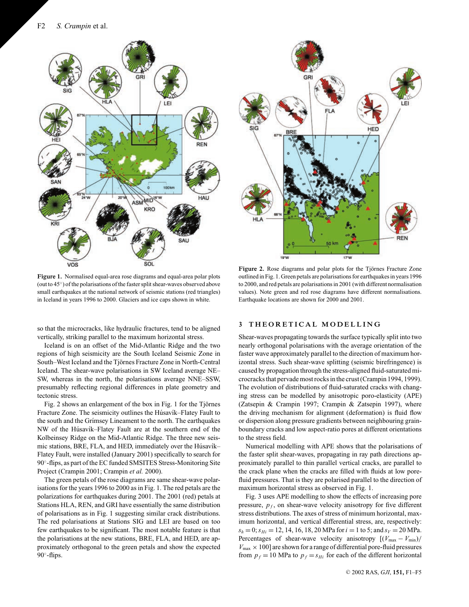



**Figure 1.** Normalised equal-area rose diagrams and equal-area polar plots (out to 45◦) of the polarisations of the faster split shear-waves observed above small earthquakes at the national network of seismic stations (red triangles) in Iceland in years 1996 to 2000. Glaciers and ice caps shown in white.

so that the microcracks, like hydraulic fractures, tend to be aligned vertically, striking parallel to the maximum horizontal stress.

Iceland is on an offset of the Mid-Atlantic Ridge and the two regions of high seismicity are the South Iceland Seismic Zone in South–West Iceland and the Tjörnes Fracture Zone in North-Central Iceland. The shear-wave polarisations in SW Iceland average NE– SW, whereas in the north, the polarisations average NNE–SSW, presumably reflecting regional differences in plate geometry and tectonic stress.

Fig. 2 shows an enlargement of the box in Fig. 1 for the Tjörnes Fracture Zone. The seismicity outlines the Húsavík–Flatey Fault to the south and the Grímsey Lineament to the north. The earthquakes NW of the Húsavík–Flatey Fault are at the southern end of the Kolbeinsey Ridge on the Mid-Atlantic Ridge. The three new seismic stations, BRE, FLA, and HED, immediately over the Húsavík– Flatey Fault, were installed (January 2001) specifically to search for 90<sup>°</sup>-flips, as part of the EC funded SMSITES Stress-Monitoring Site Project (Crampin 2001; Crampin *et al.* 2000).

The green petals of the rose diagrams are same shear-wave polarisations for the years 1996 to 2000 as in Fig. 1. The red petals are the polarizations for earthquakes during 2001. The 2001 (red) petals at Stations HLA, REN, and GRI have essentially the same distribution of polarisations as in Fig. 1 suggesting similar crack distributions. The red polarisations at Stations SIG and LEI are based on too few earthquakes to be significant. The most notable feature is that the polarisations at the new stations, BRE, FLA, and HED, are approximately orthogonal to the green petals and show the expected 90 $^{\circ}$ -flips.

Figure 2. Rose diagrams and polar plots for the Tjörnes Fracture Zone outlined in Fig. 1. Green petals are polarisations for earthquakes in years 1996 to 2000, and red petals are polarisations in 2001 (with different normalisation values). Note green and red rose diagrams have different normalisations. Earthquake locations are shown for 2000 and 2001.

#### **3 THEORETICAL MODELLING**

Shear-waves propagating towards the surface typically split into two nearly orthogonal polarisations with the average orientation of the faster wave approximately parallel to the direction of maximum horizontal stress. Such shear-wave splitting (seismic birefringence) is caused by propagation through the stress-aligned fluid-saturated microcracks that pervade most rocks in the crust (Crampin 1994, 1999). The evolution of distributions of fluid-saturated cracks with changing stress can be modelled by anisotropic poro-elasticity (APE) (Zatsepin & Crampin 1997; Crampin & Zatsepin 1997), where the driving mechanism for alignment (deformation) is fluid flow or dispersion along pressure gradients between neighbouring grainboundary cracks and low aspect-ratio pores at different orientations to the stress field.

Numerical modelling with APE shows that the polarisations of the faster split shear-waves, propagating in ray path directions approximately parallel to thin parallel vertical cracks, are parallel to the crack plane when the cracks are filled with fluids at low porefluid pressures. That is they are polarised parallel to the direction of maximum horizontal stress as observed in Fig. 1.

Fig. 3 uses APE modelling to show the effects of increasing pore pressure,  $p_f$ , on shear-wave velocity anisotropy for five different stress distributions. The axes of stress of minimum horizontal, maximum horizontal, and vertical differential stress, are, respectively:  $s_h = 0$ ;  $s_{Hi} = 12$ , 14, 16, 18, 20 MPa for  $i = 1$  to 5; and  $s_V = 20$  MPa. Percentages of shear-wave velocity anisotropy  $[(V_{\text{max}} - V_{\text{min}})]$  $V_{\text{max}} \times 100$ ] are shown for a range of differential pore-fluid pressures from  $p_f = 10$  MPa to  $p_f = s_{Hi}$  for each of the different horizontal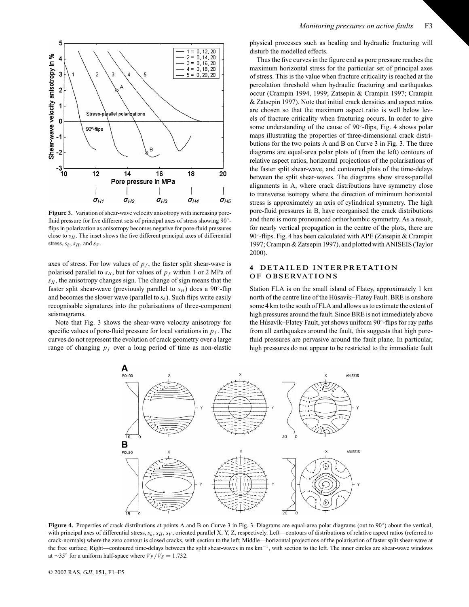

**Figure 3.** Variation of shear-wave velocity anisotropy with increasing porefluid pressure for five different sets of principal axes of stress showing 90<sup>°</sup>flips in polarization as anisotropy becomes negative for pore-fluid pressures close to  $s_H$ . The inset shows the five different principal axes of differential stress,  $s_h$ ,  $s_H$ , and  $s_V$ .

axes of stress. For low values of  $p_f$ , the faster split shear-wave is polarised parallel to  $s_H$ , but for values of  $p_f$  within 1 or 2 MPa of  $s_H$ , the anisotropy changes sign. The change of sign means that the faster split shear-wave (previously parallel to  $s_H$ ) does a 90<sup>°</sup>-flip and becomes the slower wave (parallel to  $s<sub>h</sub>$ ). Such flips write easily recognisable signatures into the polarisations of three-component seismograms.

Note that Fig. 3 shows the shear-wave velocity anisotropy for specific values of pore-fluid pressure for local variations in  $p_f$ . The curves do not represent the evolution of crack geometry over a large range of changing  $p_f$  over a long period of time as non-elastic

physical processes such as healing and hydraulic fracturing will disturb the modelled effects.

Thus the five curves in the figure end as pore pressure reaches the maximum horizontal stress for the particular set of principal axes of stress. This is the value when fracture criticality is reached at the percolation threshold when hydraulic fracturing and earthquakes occur (Crampin 1994, 1999; Zatsepin & Crampin 1997; Crampin & Zatsepin 1997). Note that initial crack densities and aspect ratios are chosen so that the maximum aspect ratio is well below levels of fracture criticality when fracturing occurs. In order to give some understanding of the cause of 90°-flips, Fig. 4 shows polar maps illustrating the properties of three-dimensional crack distributions for the two points A and B on Curve 3 in Fig. 3. The three diagrams are equal-area polar plots of (from the left) contours of relative aspect ratios, horizontal projections of the polarisations of the faster split shear-wave, and contoured plots of the time-delays between the split shear-waves. The diagrams show stress-parallel alignments in A, where crack distributions have symmetry close to transverse isotropy where the direction of minimum horizontal stress is approximately an axis of cylindrical symmetry. The high pore-fluid pressures in B, have reorganised the crack distributions and there is more pronounced orthorhombic symmetry. As a result, for nearly vertical propagation in the centre of the plots, there are 90°-flips. Fig. 4 has been calculated with APE (Zatsepin & Crampin 1997; Crampin & Zatsepin 1997), and plotted with ANISEIS (Taylor 2000).

#### **4 DETAILED INTERPRETATION OF OBSERVATIONS**

Station FLA is on the small island of Flatey, approximately 1 km north of the centre line of the Húsavík–Flatey Fault. BRE is onshore some 4 km to the south of FLA and allows us to estimate the extent of high pressures around the fault. Since BRE is not immediately above the Húsavík–Flatey Fault, yet shows uniform  $90^\circ$ -flips for ray paths from all earthquakes around the fault, this suggests that high porefluid pressures are pervasive around the fault plane. In particular, high pressures do not appear to be restricted to the immediate fault



**Figure 4.** Properties of crack distributions at points A and B on Curve 3 in Fig. 3. Diagrams are equal-area polar diagrams (out to 90◦) about the vertical, with principal axes of differential stress,  $s_h$ ,  $s_H$ ,  $s_V$ , oriented parallel X, Y, Z, respectively. Left—contours of distributions of relative aspect ratios (referred to crack-normals) where the zero contour is closed cracks, with section to the left; Middle—horizontal projections of the polarisation of faster split shear-wave at the free surface; Right—contoured time-delays between the split shear-waves in ms km−1, with section to the left. The inner circles are shear-wave windows at ∼35° for a uniform half-space where  $V_P/V_S = 1.732$ .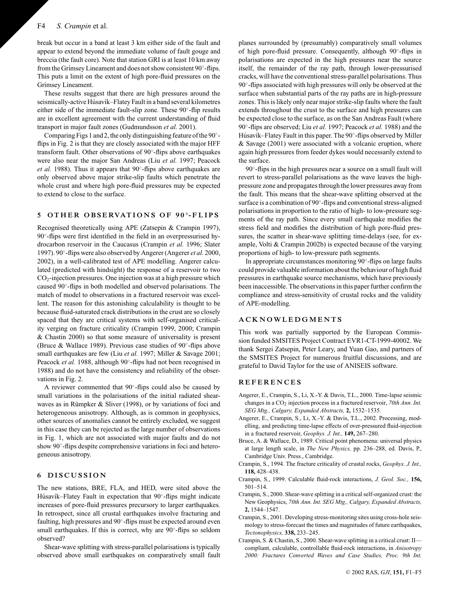break but occur in a band at least 3 km either side of the fault and appear to extend beyond the immediate volume of fault gouge and breccia (the fault core). Note that station GRI is at least 10 km away from the Grímsey Lineament and does not show consistent  $90^\circ$ -flips. This puts a limit on the extent of high pore-fluid pressures on the Grímsey Lineament.

These results suggest that there are high pressures around the seismically-active Húsavík–Flatey Fault in a band several kilometres either side of the immediate fault-slip zone. These 90◦-flip results are in excellent agreement with the current understanding of fluid transport in major fault zones (Gudmundsson *et al.* 2001).

Comparing Figs 1 and 2, the only distinguishing feature of the 90◦ flips in Fig. 2 is that they are closely associated with the major HFF transform fault. Other observations of 90◦-flips above earthquakes were also near the major San Andreas (Liu *et al.* 1997; Peacock *et al.* 1988). Thus it appears that 90<sup>°</sup>-flips above earthquakes are only observed above major strike-slip faults which penetrate the whole crust and where high pore-fluid pressures may be expected to extend to close to the surface.

## **5 OT H E R O B S E RVAT I O N S O F 9 0** *◦***-FLIPS**

Recognised theoretically using APE (Zatsepin & Crampin 1997), 90<sup>°</sup>-flips were first identified in the field in an overpressurised hydrocarbon reservoir in the Caucasus (Crampin *et al.* 1996; Slater 1997). 90◦-flips were also observed by Angerer (Angerer *et al.* 2000, 2002), in a well-calibrated test of APE modelling. Angerer calculated (predicted with hindsight) the response of a reservoir to two CO2-injection pressures. One injection was at a high pressure which caused 90◦-flips in both modelled and observed polarisations. The match of model to observations in a fractured reservoir was excellent. The reason for this astonishing calculability is thought to be because fluid-saturated crack distributions in the crust are so closely spaced that they are critical systems with self-organised criticality verging on fracture criticality (Crampin 1999, 2000; Crampin & Chastin 2000) so that some measure of universality is present (Bruce & Wallace 1989). Previous case studies of 90◦-flips above small earthquakes are few (Liu et al. 1997; Miller & Savage 2001; Peacock *et al.* 1988, although 90<sup>°</sup>-flips had not been recognised in 1988) and do not have the consistency and reliability of the observations in Fig. 2.

A reviewer commented that 90◦-flips could also be caused by small variations in the polarisations of the initial radiated shearwaves as in Rümpker & Sliver (1998), or by variations of foci and heterogeneous anisotropy. Although, as is common in geophysics, other sources of anomalies cannot be entirely excluded, we suggest in this case they can be rejected as the large number of observations in Fig. 1, which are not associated with major faults and do not show 90◦-flips despite comprehensive variations in foci and heterogeneous anisotropy.

#### **6 DISCUSSION**

The new stations, BRE, FLA, and HED, were sited above the Húsavík–Flatey Fault in expectation that 90°-flips might indicate increases of pore-fluid pressures precursory to larger earthquakes. In retrospect, since all crustal earthquakes involve fracturing and faulting, high pressures and 90◦-flips must be expected around even small earthquakes. If this is correct, why are 90°-flips so seldom observed?

Shear-wave splitting with stress-parallel polarisations is typically observed above small earthquakes on comparatively small fault planes surrounded by (presumably) comparatively small volumes of high pore-fluid pressure. Consequently, although 90◦-flips in polarisations are expected in the high pressures near the source itself, the remainder of the ray path, through lower-pressurised cracks, will have the conventional stress-parallel polarisations. Thus 90°-flips associated with high pressures will only be observed at the surface when substantial parts of the ray paths are in high-pressure zones. This is likely only near major strike-slip faults where the fault extends throughout the crust to the surface and high pressures can be expected close to the surface, as on the San Andreas Fault (where 90◦-flips are observed; Liu *et al.* 1997; Peacock *et al.* 1988) and the Húsavík–Flatey Fault in this paper. The 90°-flips observed by Miller & Savage (2001) were associated with a volcanic eruption, where again high pressures from feeder dykes would necessarily extend to the surface.

90°-flips in the high pressures near a source on a small fault will revert to stress-parallel polarisations as the wave leaves the highpressure zone and propagates through the lower pressures away from the fault. This means that the shear-wave splitting observed at the surface is a combination of 90°-flips and conventional stress-aligned polarisations in proportion to the ratio of high- to low-pressure segments of the ray path. Since every small earthquake modifies the stress field and modifies the distribution of high pore-fluid pressures, the scatter in shear-wave splitting time-delays (see, for example, Volti & Crampin 2002b) is expected because of the varying proportions of high- to low-pressure path segments.

In appropriate circumstances monitoring 90◦-flips on large faults could provide valuable information about the behaviour of high fluid pressures in earthquake source mechanisms, which have previously been inaccessible. The observations in this paper further confirm the compliance and stress-sensitivity of crustal rocks and the validity of APE-modelling.

#### **ACKNOWLEDGMENTS**

This work was partially supported by the European Commission funded SMSITES Project Contract EVR1-CT-1999-40002. We thank Sergei Zatsepin, Peter Leary, and Yuan Gao, and partners of the SMSITES Project for numerous fruitful discussions, and are grateful to David Taylor for the use of ANISEIS software.

#### **REFERENCES**

- Angerer, E., Crampin, S., Li, X.-Y. & Davis, T.L., 2000. Time-lapse seismic changes in a CO<sub>2</sub> injection process in a fractured reservoir, 70th Ann. Int. *SEG Mtg., Calgary, Expanded Abstracts,* **2,** 1532–1535.
- Angerer, E., Crampin, S., Li, X.-Y. & Davis, T.L., 2002. Processing, modelling, and predicting time-lapse effects of over-pressured fluid-injection in a fractured reservoir, *Geophys. J. Int.,* **149,** 267–280.
- Bruce, A. & Wallace, D., 1989. Critical point phenomena: universal physics at large length scale, in *The New Physics,* pp. 236–288, ed. Davis, P., Cambridge Univ. Press., Cambridge.
- Crampin, S., 1994. The fracture criticality of crustal rocks, *Geophys. J. Int.,* **118,** 428–438.
- Crampin, S., 1999. Calculable fluid-rock interactions, *J. Geol. Soc.,* **156,** 501–514.
- Crampin, S., 2000. Shear-wave splitting in a critical self-organized crust: the New Geophysics, *70th Ann. Int. SEG Mtg., Calgary, Expanded Abstracts,* **2,** 1544–1547.
- Crampin, S., 2001. Developing stress-monitoring sites using cross-hole seismology to stress-forecast the times and magnitudes of future earthquakes, *Tectonophysics,* **338,** 233–245.
- Crampin, S. & Chastin, S., 2000. Shear-wave splitting in a critical crust: II compliant, calculable, controllable fluid-rock interactions, in *Anisotropy 2000: Fractures Converted Waves and Case Studies, Proc. 9th Int.*